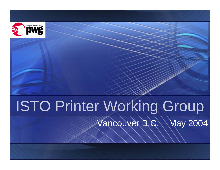

# ISTO Printer Working Group Vancouver B.C. – May 2004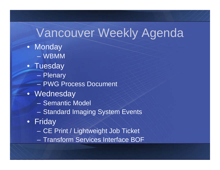## Vancouver Weekly Agenda

- Monday – WBMM
- Tuesday
	- Plenary
	- –PWG Process Document
- Wednesday
	- –Semantic Model
	- Standard Imaging System Events
- F rid a y
	- CE Print / Lightweight Job Ticket
	- Transform Services Interface BOF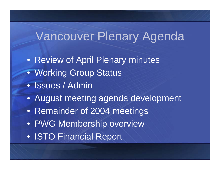#### Vancouver Plenary Agenda

- Review of April Plenary minutes
- Working Group Status
- Issues / Admin
- August meeting agenda development
- Remainder of 2004 meetings
- PWG Membership overview
- ISTO Financial Report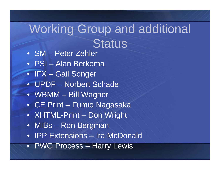## Working Group and additional **Status**

- SM Peter Zehler
- PSI Alan Berkema
- IFX Gail Songer
- UPDF Norbert Schade
- WBMM Bill Wagner
- CE Print Fumio Nagasaka
- XHTML-Print Don Wright
- MIBs Ron Bergman
- IPP Extensions Ira McDonald
- PWG Process Harry Lewis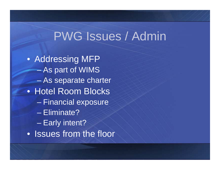#### PWG Issues / Admin

• Addressing MFP As part of WIMS – As separate charter • Hotel Room Blocks – Financial exposure –Eliminate?en al control de la control de – Early intent? • Issues from the floor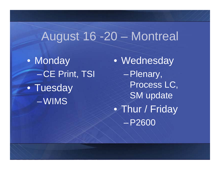#### August 16 -20 – Montreal

 $\bullet$ • Monday  $\mathcal{L}_{\mathcal{A}}$ -CE Print, TSI • Tuesday – WIMS

 $\bullet$  Wednesday Plenary, Process LC, SM update  $\bullet$ • Thur / Friday P2600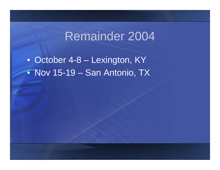#### Remainder 2004

• October 4-8 – Lexington, KY • Nov 15-19 – San Antonio, TX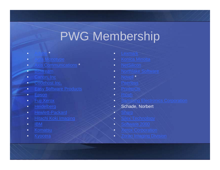## PWG Membership

- •[Adobe](http://www.adobe.com/)\*
- •
- •**• [Axis Communications](http://www.axis.com/)**

\*

- •[Bitstream](http://www.bitstream.com/)
- •
- •[Codehost](http://www.codehost.com/) Inc.
- $\bullet$
- •
- •
- •<u>H[eidelber](http://www.heidelberg.com/)g</u>
- •• [Hewlett-Packard](http://www.hp.com/)
- •
- •[IBM](http://www.ibm.com/)
- •• [Komatsu](http://www.komatsu.com/)
- •**[Kyocera](http://www.kyocera.com/)**
- •[Lexmark](http://www.lexmark.com/)
- •[Konica Minolta](http://www.qms.com/)
- •
- •• [Northlake Software](http://www.nls.com/)
- •• [Novell](http://www.novell.com/) \*
- •
- •• [PrinterO](http://www.printeron.com/)n
- •• [Ricoh](http://www.ricoh.com/)
- •
- •Schade, Norbert
- •
- •• <u>Silex [Technology](http://www.silex.jp/)</u>
- •• [Software 2000](http://www.sw2000.com/)
- •
- $\bullet$ <u>• Zoran [Imaging Division](http://www.zoran.com/)</u>